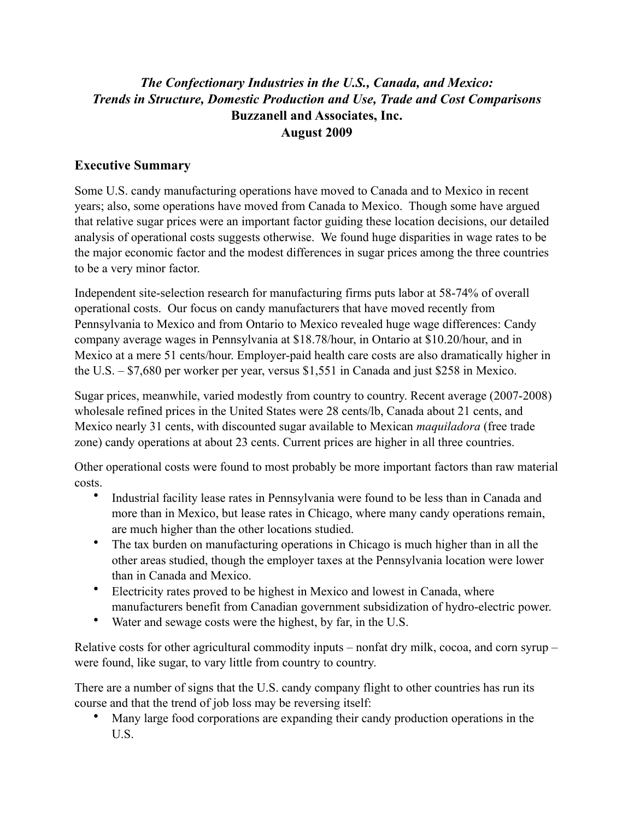## *The Confectionary Industries in the U.S., Canada, and Mexico: Trends in Structure, Domestic Production and Use, Trade and Cost Comparisons* **Buzzanell and Associates, Inc. August 2009**

## **Executive Summary**

Some U.S. candy manufacturing operations have moved to Canada and to Mexico in recent years; also, some operations have moved from Canada to Mexico. Though some have argued that relative sugar prices were an important factor guiding these location decisions, our detailed analysis of operational costs suggests otherwise. We found huge disparities in wage rates to be the major economic factor and the modest differences in sugar prices among the three countries to be a very minor factor.

Independent site-selection research for manufacturing firms puts labor at 58-74% of overall operational costs. Our focus on candy manufacturers that have moved recently from Pennsylvania to Mexico and from Ontario to Mexico revealed huge wage differences: Candy company average wages in Pennsylvania at \$18.78/hour, in Ontario at \$10.20/hour, and in Mexico at a mere 51 cents/hour. Employer-paid health care costs are also dramatically higher in the U.S. – \$7,680 per worker per year, versus \$1,551 in Canada and just \$258 in Mexico.

Sugar prices, meanwhile, varied modestly from country to country. Recent average (2007-2008) wholesale refined prices in the United States were 28 cents/lb, Canada about 21 cents, and Mexico nearly 31 cents, with discounted sugar available to Mexican *maquiladora* (free trade zone) candy operations at about 23 cents. Current prices are higher in all three countries.

Other operational costs were found to most probably be more important factors than raw material costs.

- Industrial facility lease rates in Pennsylvania were found to be less than in Canada and more than in Mexico, but lease rates in Chicago, where many candy operations remain, are much higher than the other locations studied.
- The tax burden on manufacturing operations in Chicago is much higher than in all the other areas studied, though the employer taxes at the Pennsylvania location were lower than in Canada and Mexico.
- Electricity rates proved to be highest in Mexico and lowest in Canada, where manufacturers benefit from Canadian government subsidization of hydro-electric power.
- Water and sewage costs were the highest, by far, in the U.S.

Relative costs for other agricultural commodity inputs – nonfat dry milk, cocoa, and corn syrup – were found, like sugar, to vary little from country to country.

There are a number of signs that the U.S. candy company flight to other countries has run its course and that the trend of job loss may be reversing itself:

• Many large food corporations are expanding their candy production operations in the U.S.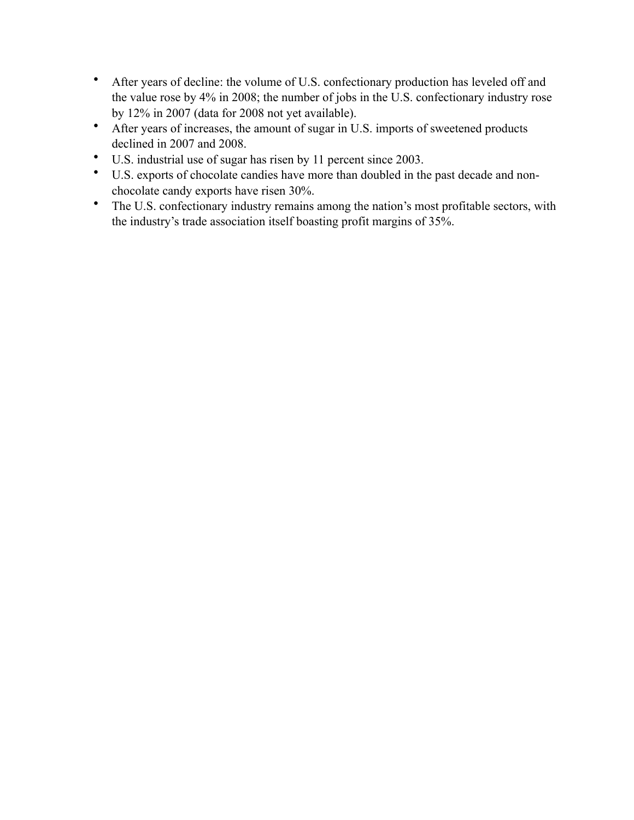- After years of decline: the volume of U.S. confectionary production has leveled off and the value rose by 4% in 2008; the number of jobs in the U.S. confectionary industry rose by 12% in 2007 (data for 2008 not yet available).
- After years of increases, the amount of sugar in U.S. imports of sweetened products declined in 2007 and 2008.
- U.S. industrial use of sugar has risen by 11 percent since 2003.
- U.S. exports of chocolate candies have more than doubled in the past decade and nonchocolate candy exports have risen 30%.
- The U.S. confectionary industry remains among the nation's most profitable sectors, with the industry's trade association itself boasting profit margins of 35%.